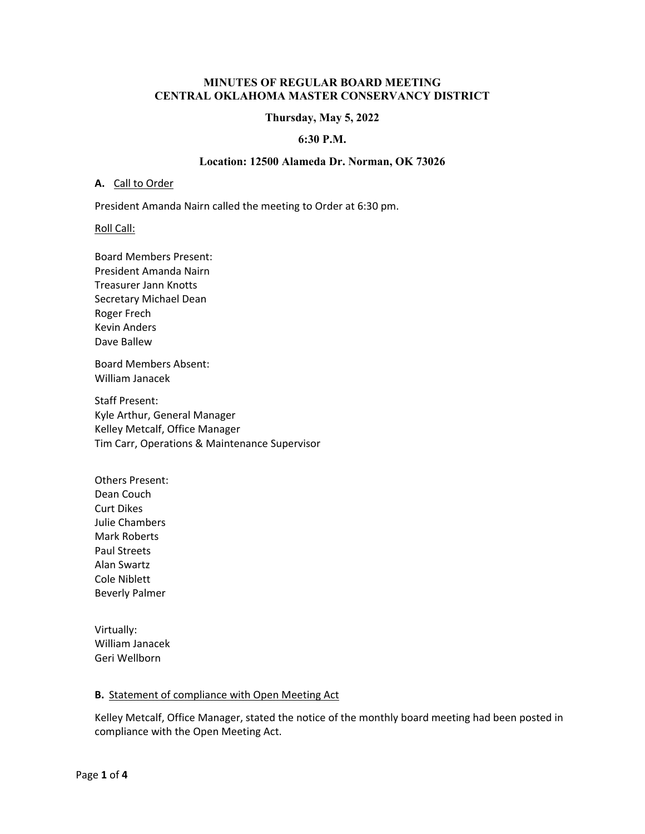#### **MINUTES OF REGULAR BOARD MEETING CENTRAL OKLAHOMA MASTER CONSERVANCY DISTRICT**

#### **Thursday, May 5, 2022**

#### **6:30 P.M.**

#### **Location: 12500 Alameda Dr. Norman, OK 73026**

#### **A.** Call to Order

President Amanda Nairn called the meeting to Order at 6:30 pm.

Roll Call:

Board Members Present: President Amanda Nairn Treasurer Jann Knotts Secretary Michael Dean Roger Frech Kevin Anders Dave Ballew

Board Members Absent: William Janacek

Staff Present: Kyle Arthur, General Manager Kelley Metcalf, Office Manager Tim Carr, Operations & Maintenance Supervisor

Others Present: Dean Couch Curt Dikes Julie Chambers Mark Roberts Paul Streets Alan Swartz Cole Niblett Beverly Palmer

Virtually: William Janacek Geri Wellborn

#### **B.** Statement of compliance with Open Meeting Act

Kelley Metcalf, Office Manager, stated the notice of the monthly board meeting had been posted in compliance with the Open Meeting Act.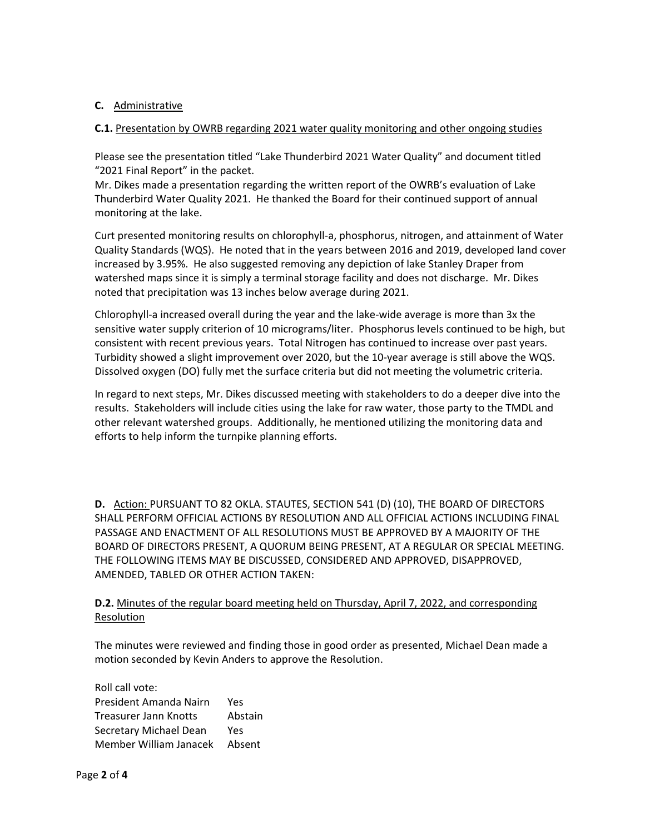# **C.** Administrative

## **C.1.** Presentation by OWRB regarding 2021 water quality monitoring and other ongoing studies

Please see the presentation titled "Lake Thunderbird 2021 Water Quality" and document titled "2021 Final Report" in the packet.

Mr. Dikes made a presentation regarding the written report of the OWRB's evaluation of Lake Thunderbird Water Quality 2021. He thanked the Board for their continued support of annual monitoring at the lake.

Curt presented monitoring results on chlorophyll‐a, phosphorus, nitrogen, and attainment of Water Quality Standards (WQS). He noted that in the years between 2016 and 2019, developed land cover increased by 3.95%. He also suggested removing any depiction of lake Stanley Draper from watershed maps since it is simply a terminal storage facility and does not discharge. Mr. Dikes noted that precipitation was 13 inches below average during 2021.

Chlorophyll‐a increased overall during the year and the lake‐wide average is more than 3x the sensitive water supply criterion of 10 micrograms/liter. Phosphorus levels continued to be high, but consistent with recent previous years. Total Nitrogen has continued to increase over past years. Turbidity showed a slight improvement over 2020, but the 10‐year average is still above the WQS. Dissolved oxygen (DO) fully met the surface criteria but did not meeting the volumetric criteria.

In regard to next steps, Mr. Dikes discussed meeting with stakeholders to do a deeper dive into the results. Stakeholders will include cities using the lake for raw water, those party to the TMDL and other relevant watershed groups. Additionally, he mentioned utilizing the monitoring data and efforts to help inform the turnpike planning efforts.

**D.** Action: PURSUANT TO 82 OKLA. STAUTES, SECTION 541 (D) (10), THE BOARD OF DIRECTORS SHALL PERFORM OFFICIAL ACTIONS BY RESOLUTION AND ALL OFFICIAL ACTIONS INCLUDING FINAL PASSAGE AND ENACTMENT OF ALL RESOLUTIONS MUST BE APPROVED BY A MAJORITY OF THE BOARD OF DIRECTORS PRESENT, A QUORUM BEING PRESENT, AT A REGULAR OR SPECIAL MEETING. THE FOLLOWING ITEMS MAY BE DISCUSSED, CONSIDERED AND APPROVED, DISAPPROVED, AMENDED, TABLED OR OTHER ACTION TAKEN:

# **D.2.** Minutes of the regular board meeting held on Thursday, April 7, 2022, and corresponding Resolution

The minutes were reviewed and finding those in good order as presented, Michael Dean made a motion seconded by Kevin Anders to approve the Resolution.

Roll call vote: President Amanda Nairn Yes Treasurer Jann Knotts Abstain Secretary Michael Dean Yes Member William Janacek Absent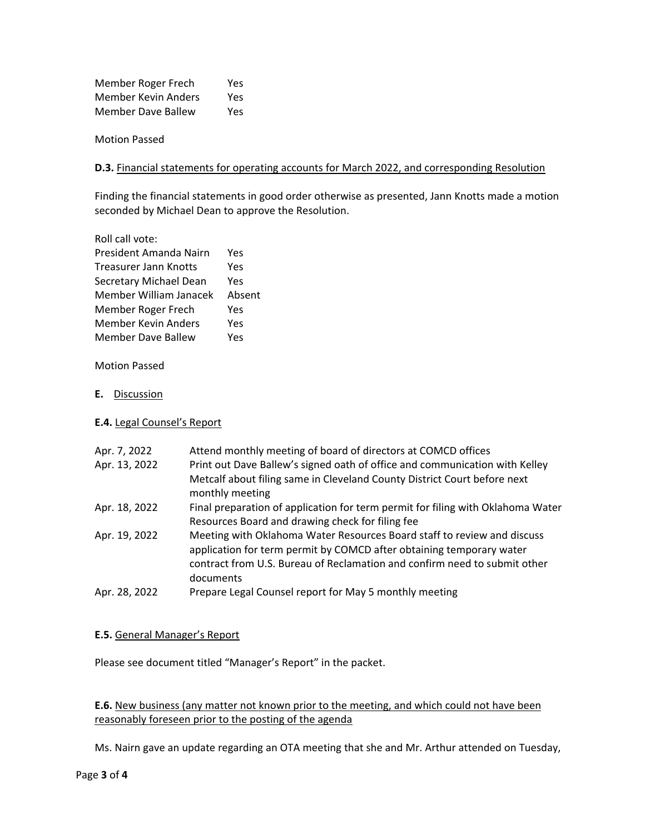Member Roger Frech Yes Member Kevin Anders Yes Member Dave Ballew Yes

Motion Passed

#### **D.3.** Financial statements for operating accounts for March 2022, and corresponding Resolution

Finding the financial statements in good order otherwise as presented, Jann Knotts made a motion seconded by Michael Dean to approve the Resolution.

| Roll call vote:        |        |
|------------------------|--------|
| President Amanda Nairn | Yes    |
| Treasurer Jann Knotts  | Yes    |
| Secretary Michael Dean | Yes    |
| Member William Janacek | Absent |
|                        |        |
| Member Roger Frech     | Yes    |
| Member Kevin Anders    | Yes    |

Motion Passed

**E.** Discussion

## **E.4.** Legal Counsel's Report

| Apr. 7, 2022  | Attend monthly meeting of board of directors at COMCD offices                                                                                   |
|---------------|-------------------------------------------------------------------------------------------------------------------------------------------------|
| Apr. 13, 2022 | Print out Dave Ballew's signed oath of office and communication with Kelley                                                                     |
|               | Metcalf about filing same in Cleveland County District Court before next<br>monthly meeting                                                     |
| Apr. 18, 2022 | Final preparation of application for term permit for filing with Oklahoma Water                                                                 |
|               | Resources Board and drawing check for filing fee                                                                                                |
| Apr. 19, 2022 | Meeting with Oklahoma Water Resources Board staff to review and discuss<br>application for term permit by COMCD after obtaining temporary water |
|               | contract from U.S. Bureau of Reclamation and confirm need to submit other<br>documents                                                          |
| Apr. 28, 2022 | Prepare Legal Counsel report for May 5 monthly meeting                                                                                          |

## **E.5.** General Manager's Report

Please see document titled "Manager's Report" in the packet.

**E.6.** New business (any matter not known prior to the meeting, and which could not have been reasonably foreseen prior to the posting of the agenda

Ms. Nairn gave an update regarding an OTA meeting that she and Mr. Arthur attended on Tuesday,